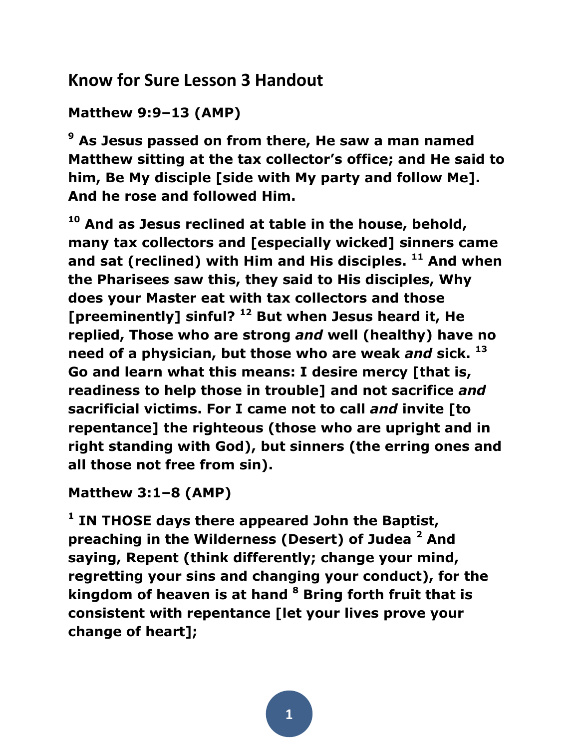# **Know for Sure Lesson 3 Handout**

```
Matthew 9:9–13 (AMP)
```
**<sup>9</sup> As Jesus passed on from there, He saw a man named Matthew sitting at the tax collector's office; and He said to him, Be My disciple [side with My party and follow Me]. And he rose and followed Him.** 

**<sup>10</sup> And as Jesus reclined at table in the house, behold, many tax collectors and [especially wicked] sinners came and sat (reclined) with Him and His disciples. <sup>11</sup> And when the Pharisees saw this, they said to His disciples, Why does your Master eat with tax collectors and those [preeminently] sinful? <sup>12</sup> But when Jesus heard it, He replied, Those who are strong** *and* **well (healthy) have no need of a physician, but those who are weak** *and* **sick. <sup>13</sup> Go and learn what this means: I desire mercy [that is, readiness to help those in trouble] and not sacrifice** *and* **sacrificial victims. For I came not to call** *and* **invite [to repentance] the righteous (those who are upright and in right standing with God), but sinners (the erring ones and all those not free from sin).** 

**Matthew 3:1–8 (AMP)** 

**1 IN THOSE days there appeared John the Baptist, preaching in the Wilderness (Desert) of Judea <sup>2</sup> And saying, Repent (think differently; change your mind, regretting your sins and changing your conduct), for the kingdom of heaven is at hand <sup>8</sup> Bring forth fruit that is consistent with repentance [let your lives prove your change of heart];**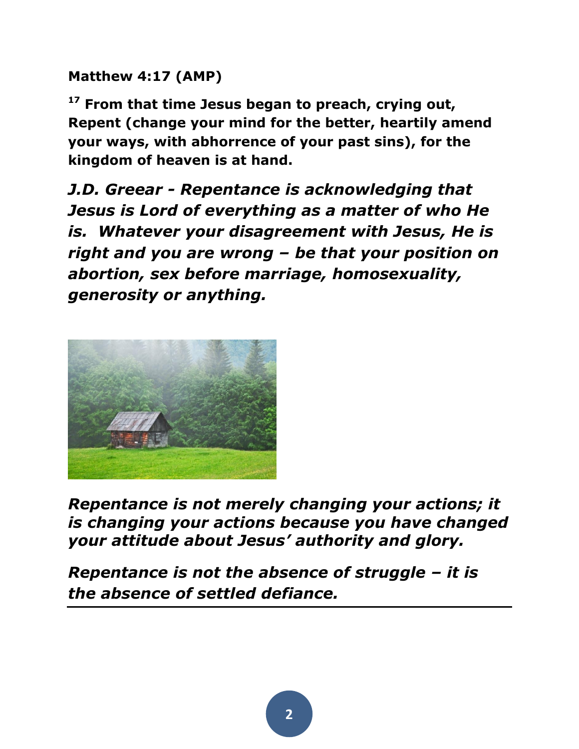**Matthew 4:17 (AMP)** 

**<sup>17</sup> From that time Jesus began to preach, crying out, Repent (change your mind for the better, heartily amend your ways, with abhorrence of your past sins), for the kingdom of heaven is at hand.** 

*J.D. Greear - Repentance is acknowledging that Jesus is Lord of everything as a matter of who He is. Whatever your disagreement with Jesus, He is right and you are wrong – be that your position on abortion, sex before marriage, homosexuality, generosity or anything.*



*Repentance is not merely changing your actions; it is changing your actions because you have changed your attitude about Jesus' authority and glory.* 

*Repentance is not the absence of struggle – it is the absence of settled defiance.*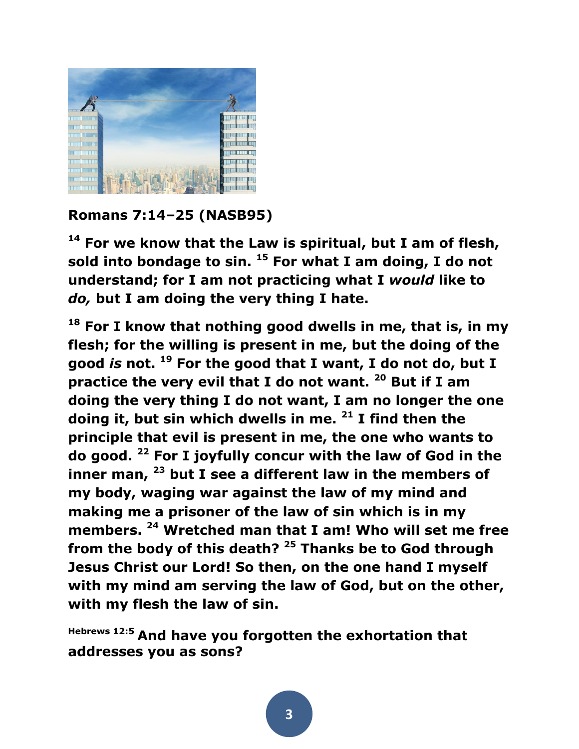

### **Romans 7:14–25 (NASB95)**

**<sup>14</sup> For we know that the Law is spiritual, but I am of flesh, sold into bondage to sin. <sup>15</sup> For what I am doing, I do not understand; for I am not practicing what I** *would* **like to**  *do,* **but I am doing the very thing I hate.** 

**<sup>18</sup> For I know that nothing good dwells in me, that is, in my flesh; for the willing is present in me, but the doing of the good** *is* **not. <sup>19</sup> For the good that I want, I do not do, but I practice the very evil that I do not want. <sup>20</sup> But if I am doing the very thing I do not want, I am no longer the one doing it, but sin which dwells in me. <sup>21</sup> I find then the principle that evil is present in me, the one who wants to do good. <sup>22</sup> For I joyfully concur with the law of God in the inner man, <sup>23</sup> but I see a different law in the members of my body, waging war against the law of my mind and making me a prisoner of the law of sin which is in my members. <sup>24</sup> Wretched man that I am! Who will set me free from the body of this death? <sup>25</sup> Thanks be to God through Jesus Christ our Lord! So then, on the one hand I myself with my mind am serving the law of God, but on the other, with my flesh the law of sin.** 

**Hebrews 12:5 And have you forgotten the exhortation that addresses you as sons?**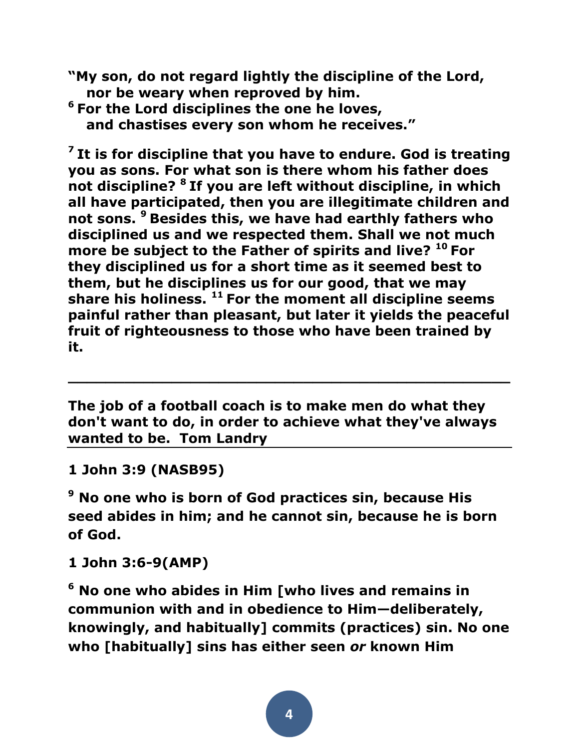- **"My son, do not regard lightly the discipline of the Lord, nor be weary when reproved by him.**
- **<sup>6</sup> For the Lord disciplines the one he loves, and chastises every son whom he receives."**

**7 It is for discipline that you have to endure. God is treating you as sons. For what son is there whom his father does not discipline? <sup>8</sup> If you are left without discipline, in which all have participated, then you are illegitimate children and not sons. <sup>9</sup> Besides this, we have had earthly fathers who disciplined us and we respected them. Shall we not much more be subject to the Father of spirits and live? <sup>10</sup> For they disciplined us for a short time as it seemed best to them, but he disciplines us for our good, that we may share his holiness. <sup>11</sup> For the moment all discipline seems painful rather than pleasant, but later it yields the peaceful fruit of righteousness to those who have been trained by it.**

**The job of a football coach is to make men do what they don't want to do, in order to achieve what they've always wanted to be. Tom Landry**

**\_\_\_\_\_\_\_\_\_\_\_\_\_\_\_\_\_\_\_\_\_\_\_\_\_\_\_\_\_\_\_\_\_\_\_\_\_\_\_\_\_\_\_\_\_\_\_**

**1 John 3:9 (NASB95)** 

**<sup>9</sup> No one who is born of God practices sin, because His seed abides in him; and he cannot sin, because he is born of God.** 

**1 John 3:6-9(AMP)** 

**<sup>6</sup> No one who abides in Him [who lives and remains in communion with and in obedience to Him—deliberately, knowingly, and habitually] commits (practices) sin. No one who [habitually] sins has either seen** *or* **known Him**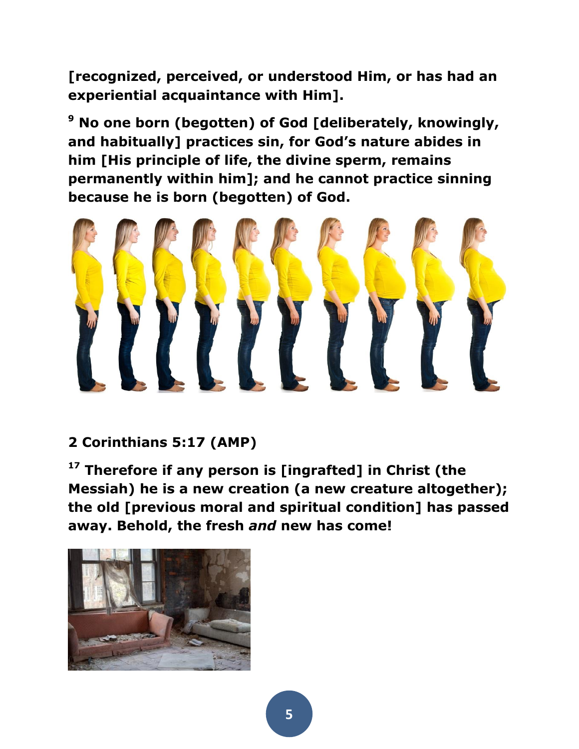**[recognized, perceived, or understood Him, or has had an experiential acquaintance with Him].** 

**<sup>9</sup> No one born (begotten) of God [deliberately, knowingly, and habitually] practices sin, for God's nature abides in him [His principle of life, the divine sperm, remains permanently within him]; and he cannot practice sinning because he is born (begotten) of God.**



## **2 Corinthians 5:17 (AMP)**

**<sup>17</sup> Therefore if any person is [ingrafted] in Christ (the Messiah) he is a new creation (a new creature altogether); the old [previous moral and spiritual condition] has passed away. Behold, the fresh** *and* **new has come!** 

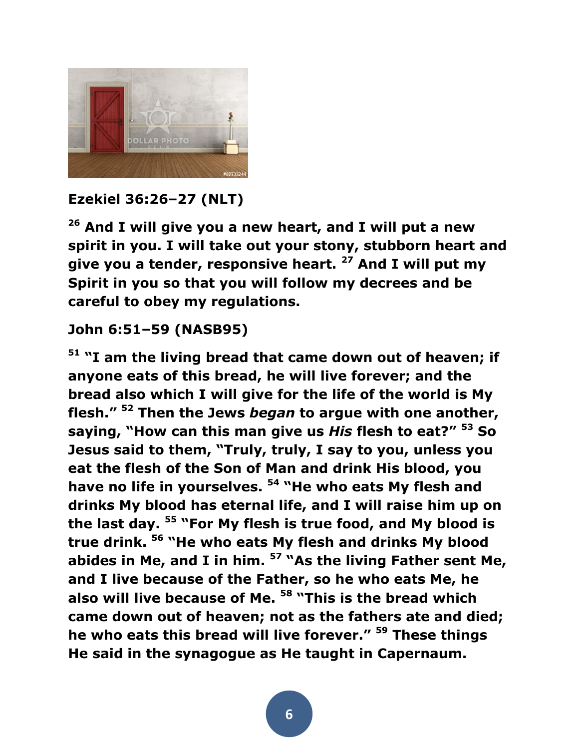

## **Ezekiel 36:26–27 (NLT)**

**<sup>26</sup> And I will give you a new heart, and I will put a new spirit in you. I will take out your stony, stubborn heart and give you a tender, responsive heart. <sup>27</sup> And I will put my Spirit in you so that you will follow my decrees and be careful to obey my regulations.**

### **John 6:51–59 (NASB95)**

**<sup>51</sup> "I am the living bread that came down out of heaven; if anyone eats of this bread, he will live forever; and the bread also which I will give for the life of the world is My flesh." <sup>52</sup> Then the Jews** *began* **to argue with one another, saying, "How can this man give us** *His* **flesh to eat?" <sup>53</sup> So Jesus said to them, "Truly, truly, I say to you, unless you eat the flesh of the Son of Man and drink His blood, you have no life in yourselves. <sup>54</sup> "He who eats My flesh and drinks My blood has eternal life, and I will raise him up on the last day. <sup>55</sup> "For My flesh is true food, and My blood is true drink. <sup>56</sup> "He who eats My flesh and drinks My blood abides in Me, and I in him. <sup>57</sup> "As the living Father sent Me, and I live because of the Father, so he who eats Me, he also will live because of Me. <sup>58</sup> "This is the bread which came down out of heaven; not as the fathers ate and died; he who eats this bread will live forever." <sup>59</sup> These things He said in the synagogue as He taught in Capernaum.**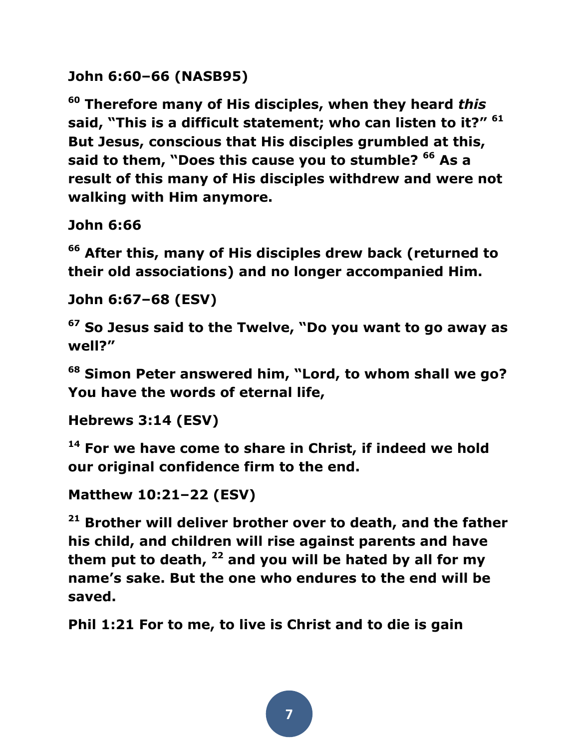```
John 6:60–66 (NASB95)
```
**<sup>60</sup> Therefore many of His disciples, when they heard** *this* **said, "This is a difficult statement; who can listen to it?" <sup>61</sup> But Jesus, conscious that His disciples grumbled at this, said to them, "Does this cause you to stumble? <sup>66</sup> As a result of this many of His disciples withdrew and were not walking with Him anymore.** 

**John 6:66** 

**<sup>66</sup> After this, many of His disciples drew back (returned to their old associations) and no longer accompanied Him.** 

**John 6:67–68 (ESV)** 

**<sup>67</sup> So Jesus said to the Twelve, "Do you want to go away as well?"** 

**<sup>68</sup> Simon Peter answered him, "Lord, to whom shall we go? You have the words of eternal life,** 

```
Hebrews 3:14 (ESV)
```
**<sup>14</sup> For we have come to share in Christ, if indeed we hold our original confidence firm to the end.** 

```
Matthew 10:21–22 (ESV)
```
**<sup>21</sup> Brother will deliver brother over to death, and the father his child, and children will rise against parents and have them put to death, <sup>22</sup> and you will be hated by all for my name's sake. But the one who endures to the end will be saved.** 

**Phil 1:21 For to me, to live is Christ and to die is gain**